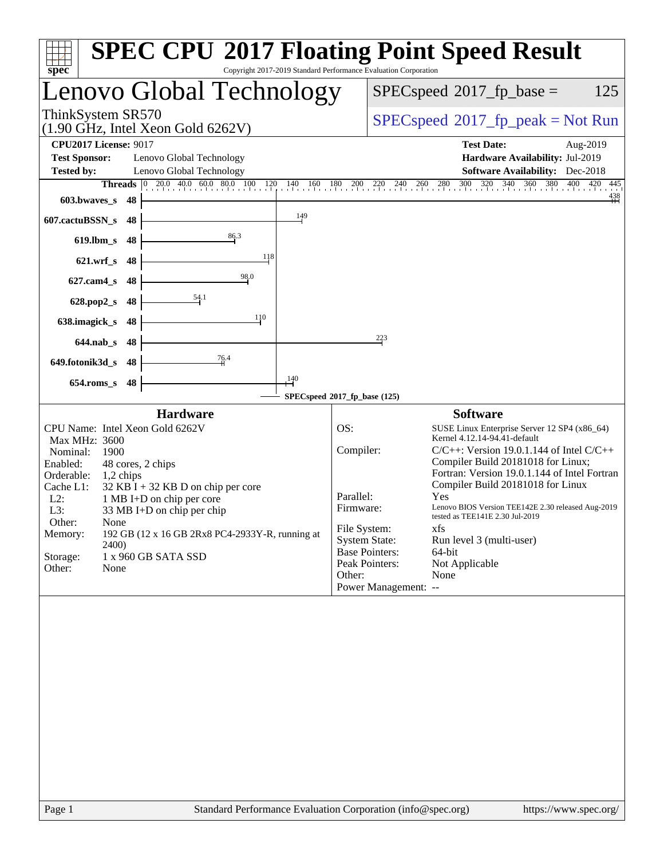| spec <sup>®</sup>                                                                | <b>SPEC CPU®2017 Floating Point Speed Result</b><br>Copyright 2017-2019 Standard Performance Evaluation Corporation                                                                                                                                                                                                                                   |
|----------------------------------------------------------------------------------|-------------------------------------------------------------------------------------------------------------------------------------------------------------------------------------------------------------------------------------------------------------------------------------------------------------------------------------------------------|
| Lenovo Global Technology                                                         | $SPEC speed^{\circ}2017$ fp base =<br>125                                                                                                                                                                                                                                                                                                             |
| ThinkSystem SR570<br>$(1.90 \text{ GHz}, \text{Intel Xeon Gold } 6262 \text{V})$ | $SPEC speed^{\circ}2017\_fp\_peak = Not Run$                                                                                                                                                                                                                                                                                                          |
| <b>CPU2017 License: 9017</b>                                                     | <b>Test Date:</b><br>Aug-2019                                                                                                                                                                                                                                                                                                                         |
| <b>Test Sponsor:</b><br>Lenovo Global Technology                                 | Hardware Availability: Jul-2019                                                                                                                                                                                                                                                                                                                       |
| <b>Tested by:</b><br>Lenovo Global Technology                                    | <b>Software Availability:</b> Dec-2018                                                                                                                                                                                                                                                                                                                |
| <b>Threads</b>                                                                   | $\boxed{0\quad 20.0\quad 40.0\quad 60.0\quad 80.0\quad 100\quad 120\quad 140\quad 160\quad 180\quad 200\quad 220\quad 240\quad 260\quad 280\quad 300\quad 320\quad 340\quad 360\quad 380\quad 400\quad 420\quad 420\quad 540\quad 550\quad 560\quad 580\quad 570\quad 580\quad 580\quad 580\quad 590\quad 590\quad 590\quad 590\quad 590\quad$<br>445 |
| 603.bwayes s<br>48                                                               | $\overset{438}{+}$                                                                                                                                                                                                                                                                                                                                    |
| 149<br>607.cactuBSSN_s<br>48                                                     |                                                                                                                                                                                                                                                                                                                                                       |
| 86.3<br>$619$ .lbm_s<br>48                                                       |                                                                                                                                                                                                                                                                                                                                                       |
| 118<br>$621.wrf$ <sub>S</sub><br>48                                              |                                                                                                                                                                                                                                                                                                                                                       |
| $\frac{98.0}{9}$<br>$627$ .cam $4_s$<br>48                                       |                                                                                                                                                                                                                                                                                                                                                       |
| <u>54</u> .1<br>628.pop2_s<br>48                                                 |                                                                                                                                                                                                                                                                                                                                                       |
| 110<br>638.imagick_s<br>48                                                       |                                                                                                                                                                                                                                                                                                                                                       |
| $644$ .nab $\overline{\phantom{a}}$<br>48                                        | 223                                                                                                                                                                                                                                                                                                                                                   |
| 76.4<br>649.fotonik3d_s<br>48                                                    |                                                                                                                                                                                                                                                                                                                                                       |
| 140<br>$654$ .roms_s<br>48                                                       |                                                                                                                                                                                                                                                                                                                                                       |
|                                                                                  | SPECspeed®2017_fp_base (125)                                                                                                                                                                                                                                                                                                                          |
| <b>Hardware</b>                                                                  | <b>Software</b>                                                                                                                                                                                                                                                                                                                                       |
| CPU Name: Intel Xeon Gold 6262V                                                  | OS:<br>SUSE Linux Enterprise Server 12 SP4 (x86_64)                                                                                                                                                                                                                                                                                                   |
| Max MHz: 3600                                                                    | Kernel 4.12.14-94.41-default                                                                                                                                                                                                                                                                                                                          |
| Nominal:<br>1900                                                                 | Compiler:<br>$C/C++$ : Version 19.0.1.144 of Intel $C/C++$<br>Compiler Build 20181018 for Linux;                                                                                                                                                                                                                                                      |
| Enabled:<br>48 cores, 2 chips<br>Orderable:<br>1,2 chips                         | Fortran: Version 19.0.1.144 of Intel Fortran                                                                                                                                                                                                                                                                                                          |
| Cache L1:<br>$32$ KB I + 32 KB D on chip per core                                | Compiler Build 20181018 for Linux                                                                                                                                                                                                                                                                                                                     |
| $L2$ :<br>1 MB I+D on chip per core                                              | Parallel:<br>Yes                                                                                                                                                                                                                                                                                                                                      |
| L3:<br>33 MB I+D on chip per chip                                                | Lenovo BIOS Version TEE142E 2.30 released Aug-2019<br>Firmware:<br>tested as TEE141E 2.30 Jul-2019                                                                                                                                                                                                                                                    |
| Other:<br>None                                                                   | File System:<br>xfs                                                                                                                                                                                                                                                                                                                                   |
| 192 GB (12 x 16 GB 2Rx8 PC4-2933Y-R, running at<br>Memory:<br><b>2400</b>        | <b>System State:</b><br>Run level 3 (multi-user)                                                                                                                                                                                                                                                                                                      |
| Storage:<br>1 x 960 GB SATA SSD                                                  | <b>Base Pointers:</b><br>64-bit                                                                                                                                                                                                                                                                                                                       |
| Other:<br>None                                                                   | Peak Pointers:<br>Not Applicable                                                                                                                                                                                                                                                                                                                      |
|                                                                                  | None<br>Other:<br>Power Management: --                                                                                                                                                                                                                                                                                                                |
|                                                                                  |                                                                                                                                                                                                                                                                                                                                                       |
|                                                                                  |                                                                                                                                                                                                                                                                                                                                                       |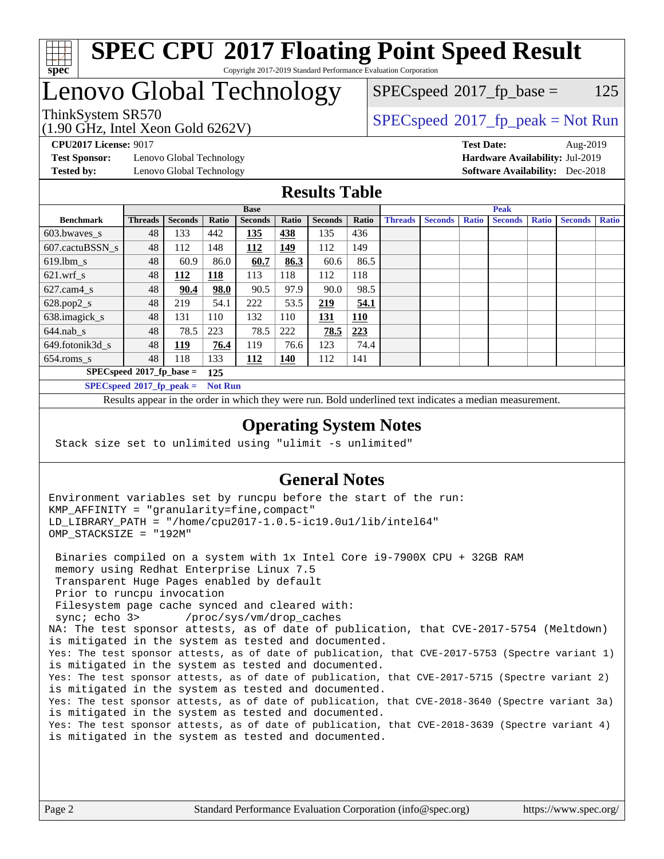

#### **[SPEC CPU](http://www.spec.org/auto/cpu2017/Docs/result-fields.html#SPECCPU2017FloatingPointSpeedResult)[2017 Floating Point Speed Result](http://www.spec.org/auto/cpu2017/Docs/result-fields.html#SPECCPU2017FloatingPointSpeedResult)** Copyright 2017-2019 Standard Performance Evaluation Corporation

# Lenovo Global Technology

(1.90 GHz, Intel Xeon Gold 6262V)

ThinkSystem SR570<br>  $\begin{array}{c}\n\text{SPEC speed} \text{?}2017\_fp\_peak = Not Run\n\end{array}$  $SPEC speed^{\circ}2017\_fp\_base = 125$ 

**[Test Sponsor:](http://www.spec.org/auto/cpu2017/Docs/result-fields.html#TestSponsor)** Lenovo Global Technology **[Hardware Availability:](http://www.spec.org/auto/cpu2017/Docs/result-fields.html#HardwareAvailability)** Jul-2019 **[Tested by:](http://www.spec.org/auto/cpu2017/Docs/result-fields.html#Testedby)** Lenovo Global Technology **[Software Availability:](http://www.spec.org/auto/cpu2017/Docs/result-fields.html#SoftwareAvailability)** Dec-2018

**[CPU2017 License:](http://www.spec.org/auto/cpu2017/Docs/result-fields.html#CPU2017License)** 9017 **[Test Date:](http://www.spec.org/auto/cpu2017/Docs/result-fields.html#TestDate)** Aug-2019

### **[Results Table](http://www.spec.org/auto/cpu2017/Docs/result-fields.html#ResultsTable)**

|                                    | <b>Base</b>                                   |                |            |                | <b>Peak</b> |                |            |                |                |              |                |              |                |              |
|------------------------------------|-----------------------------------------------|----------------|------------|----------------|-------------|----------------|------------|----------------|----------------|--------------|----------------|--------------|----------------|--------------|
| <b>Benchmark</b>                   | <b>Threads</b>                                | <b>Seconds</b> | Ratio      | <b>Seconds</b> | Ratio       | <b>Seconds</b> | Ratio      | <b>Threads</b> | <b>Seconds</b> | <b>Ratio</b> | <b>Seconds</b> | <b>Ratio</b> | <b>Seconds</b> | <b>Ratio</b> |
| 603.bwayes s                       | 48                                            | 133            | 442        | 135            | 438         | 135            | 436        |                |                |              |                |              |                |              |
| 607.cactuBSSN s                    | 48                                            | 112            | 148        | 112            | 149         | 112            | 149        |                |                |              |                |              |                |              |
| $619.$ lbm_s                       | 48                                            | 60.9           | 86.0       | 60.7           | 86.3        | 60.6           | 86.5       |                |                |              |                |              |                |              |
| $621.wrf$ s                        | 48                                            | <u> 112</u>    | <u>118</u> | 113            | 118         | 112            | 118        |                |                |              |                |              |                |              |
| $627$ .cam4 s                      | 48                                            | 90.4           | 98.0       | 90.5           | 97.9        | 90.0           | 98.5       |                |                |              |                |              |                |              |
| $628.pop2_s$                       | 48                                            | 219            | 54.1       | 222            | 53.5        | 219            | 54.1       |                |                |              |                |              |                |              |
| 638.imagick_s                      | 48                                            | 131            | 110        | 132            | 110         | 131            | <b>110</b> |                |                |              |                |              |                |              |
| $644$ .nab s                       | 48                                            | 78.5           | 223        | 78.5           | 222         | 78.5           | <u>223</u> |                |                |              |                |              |                |              |
| 649.fotonik3d s                    | 48                                            | <u> 119</u>    | 76.4       | 119            | 76.6        | 123            | 74.4       |                |                |              |                |              |                |              |
| $654$ .roms s                      | 48                                            | 118            | 133        | 112            | <b>140</b>  | 112            | 141        |                |                |              |                |              |                |              |
| $SPECspeed*2017_fp\_base =$<br>125 |                                               |                |            |                |             |                |            |                |                |              |                |              |                |              |
|                                    | $SPECspeed*2017_fp\_peak =$<br><b>Not Run</b> |                |            |                |             |                |            |                |                |              |                |              |                |              |

Results appear in the [order in which they were run.](http://www.spec.org/auto/cpu2017/Docs/result-fields.html#RunOrder) Bold underlined text [indicates a median measurement](http://www.spec.org/auto/cpu2017/Docs/result-fields.html#Median).

#### **[Operating System Notes](http://www.spec.org/auto/cpu2017/Docs/result-fields.html#OperatingSystemNotes)**

Stack size set to unlimited using "ulimit -s unlimited"

#### **[General Notes](http://www.spec.org/auto/cpu2017/Docs/result-fields.html#GeneralNotes)**

Environment variables set by runcpu before the start of the run: KMP\_AFFINITY = "granularity=fine,compact" LD\_LIBRARY\_PATH = "/home/cpu2017-1.0.5-ic19.0u1/lib/intel64" OMP\_STACKSIZE = "192M"

 Binaries compiled on a system with 1x Intel Core i9-7900X CPU + 32GB RAM memory using Redhat Enterprise Linux 7.5 Transparent Huge Pages enabled by default Prior to runcpu invocation Filesystem page cache synced and cleared with: sync; echo 3> /proc/sys/vm/drop\_caches NA: The test sponsor attests, as of date of publication, that CVE-2017-5754 (Meltdown) is mitigated in the system as tested and documented. Yes: The test sponsor attests, as of date of publication, that CVE-2017-5753 (Spectre variant 1) is mitigated in the system as tested and documented. Yes: The test sponsor attests, as of date of publication, that CVE-2017-5715 (Spectre variant 2) is mitigated in the system as tested and documented. Yes: The test sponsor attests, as of date of publication, that CVE-2018-3640 (Spectre variant 3a) is mitigated in the system as tested and documented. Yes: The test sponsor attests, as of date of publication, that CVE-2018-3639 (Spectre variant 4) is mitigated in the system as tested and documented.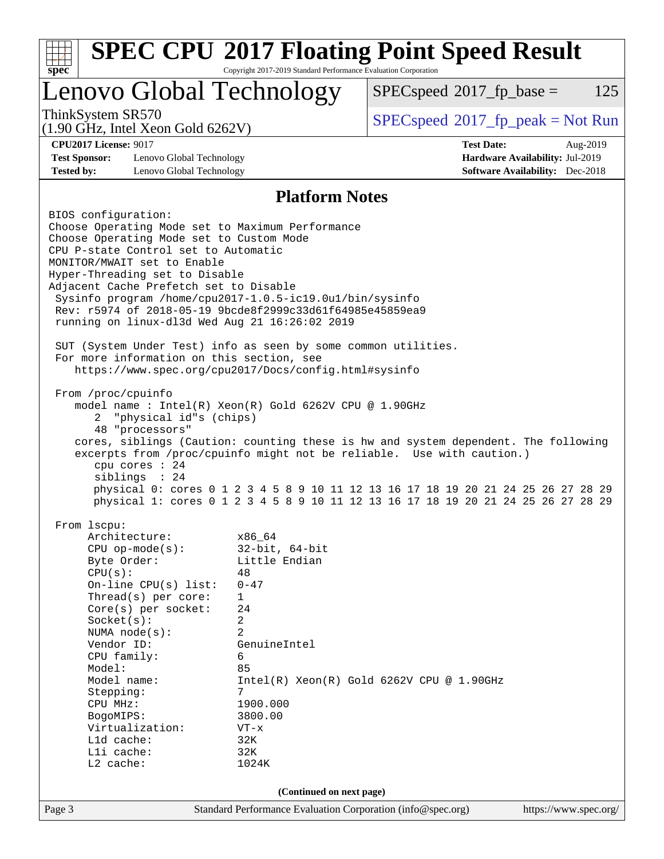| <b>SPEC CPU®2017 Floating Point Speed Result</b>                                                                                                                                                                                                                                                                                                                                                                                                                                                                                                                                                                                                                                                                                                                                                                                                                                                                                                                                                                                                       |                                                                         |                                                                                                                                                                                                          |                                              |                                                                    |     |  |
|--------------------------------------------------------------------------------------------------------------------------------------------------------------------------------------------------------------------------------------------------------------------------------------------------------------------------------------------------------------------------------------------------------------------------------------------------------------------------------------------------------------------------------------------------------------------------------------------------------------------------------------------------------------------------------------------------------------------------------------------------------------------------------------------------------------------------------------------------------------------------------------------------------------------------------------------------------------------------------------------------------------------------------------------------------|-------------------------------------------------------------------------|----------------------------------------------------------------------------------------------------------------------------------------------------------------------------------------------------------|----------------------------------------------|--------------------------------------------------------------------|-----|--|
| spec                                                                                                                                                                                                                                                                                                                                                                                                                                                                                                                                                                                                                                                                                                                                                                                                                                                                                                                                                                                                                                                   |                                                                         | Copyright 2017-2019 Standard Performance Evaluation Corporation                                                                                                                                          |                                              |                                                                    |     |  |
|                                                                                                                                                                                                                                                                                                                                                                                                                                                                                                                                                                                                                                                                                                                                                                                                                                                                                                                                                                                                                                                        |                                                                         | Lenovo Global Technology                                                                                                                                                                                 | $SPEC speed^{\circ}2017$ fp base =           |                                                                    | 125 |  |
| ThinkSystem SR570<br>$(1.90 \text{ GHz}, \text{Intel Xeon Gold } 6262 \text{V})$                                                                                                                                                                                                                                                                                                                                                                                                                                                                                                                                                                                                                                                                                                                                                                                                                                                                                                                                                                       |                                                                         |                                                                                                                                                                                                          | $SPEC speed^{\circ}2017\_fp\_peak = Not Run$ |                                                                    |     |  |
| <b>CPU2017 License: 9017</b>                                                                                                                                                                                                                                                                                                                                                                                                                                                                                                                                                                                                                                                                                                                                                                                                                                                                                                                                                                                                                           |                                                                         |                                                                                                                                                                                                          | <b>Test Date:</b>                            | Aug-2019                                                           |     |  |
| <b>Test Sponsor:</b><br><b>Tested by:</b>                                                                                                                                                                                                                                                                                                                                                                                                                                                                                                                                                                                                                                                                                                                                                                                                                                                                                                                                                                                                              | Lenovo Global Technology<br>Lenovo Global Technology                    |                                                                                                                                                                                                          |                                              | Hardware Availability: Jul-2019<br>Software Availability: Dec-2018 |     |  |
|                                                                                                                                                                                                                                                                                                                                                                                                                                                                                                                                                                                                                                                                                                                                                                                                                                                                                                                                                                                                                                                        |                                                                         | <b>Platform Notes</b>                                                                                                                                                                                    |                                              |                                                                    |     |  |
|                                                                                                                                                                                                                                                                                                                                                                                                                                                                                                                                                                                                                                                                                                                                                                                                                                                                                                                                                                                                                                                        |                                                                         |                                                                                                                                                                                                          |                                              |                                                                    |     |  |
| BIOS configuration:<br>Choose Operating Mode set to Maximum Performance<br>Choose Operating Mode set to Custom Mode<br>CPU P-state Control set to Automatic<br>MONITOR/MWAIT set to Enable<br>Hyper-Threading set to Disable<br>Adjacent Cache Prefetch set to Disable<br>Sysinfo program /home/cpu2017-1.0.5-ic19.0ul/bin/sysinfo<br>Rev: r5974 of 2018-05-19 9bcde8f2999c33d61f64985e45859ea9<br>running on linux-dl3d Wed Aug 21 16:26:02 2019<br>SUT (System Under Test) info as seen by some common utilities.<br>For more information on this section, see<br>https://www.spec.org/cpu2017/Docs/config.html#sysinfo<br>From /proc/cpuinfo<br>model name: $Intel(R)$ Xeon $(R)$ Gold 6262V CPU @ 1.90GHz<br>"physical id"s (chips)<br>2<br>48 "processors"<br>cores, siblings (Caution: counting these is hw and system dependent. The following<br>excerpts from /proc/cpuinfo might not be reliable. Use with caution.)<br>cpu cores : 24<br>siblings : 24<br>physical 0: cores 0 1 2 3 4 5 8 9 10 11 12 13 16 17 18 19 20 21 24 25 26 27 28 29 |                                                                         |                                                                                                                                                                                                          |                                              |                                                                    |     |  |
| From 1scpu:<br>Architecture:<br>$CPU$ op-mode( $s$ ):<br>Byte Order:<br>CPU(s):<br>Socket(s):<br>NUMA $node(s)$ :<br>Vendor ID:<br>CPU family:<br>Model:<br>Model name:<br>Stepping:<br>CPU MHz:<br>BogoMIPS:<br>Virtualization:<br>L1d cache:<br>Lli cache:<br>$L2$ cache:                                                                                                                                                                                                                                                                                                                                                                                                                                                                                                                                                                                                                                                                                                                                                                            | On-line CPU $(s)$ list:<br>Thread(s) per core:<br>$Core(s)$ per socket: | x86_64<br>$32$ -bit, $64$ -bit<br>Little Endian<br>48<br>$0 - 47$<br>$\mathbf{1}$<br>24<br>2<br>$\overline{2}$<br>GenuineIntel<br>6<br>85<br>7<br>1900.000<br>3800.00<br>$VT - x$<br>32K<br>32K<br>1024K | $Intel(R) Xeon(R) Gold 6262V CPU @ 1.90GHz$  |                                                                    |     |  |
| (Continued on next page)                                                                                                                                                                                                                                                                                                                                                                                                                                                                                                                                                                                                                                                                                                                                                                                                                                                                                                                                                                                                                               |                                                                         |                                                                                                                                                                                                          |                                              |                                                                    |     |  |
| Page 3                                                                                                                                                                                                                                                                                                                                                                                                                                                                                                                                                                                                                                                                                                                                                                                                                                                                                                                                                                                                                                                 |                                                                         | Standard Performance Evaluation Corporation (info@spec.org)                                                                                                                                              |                                              | https://www.spec.org/                                              |     |  |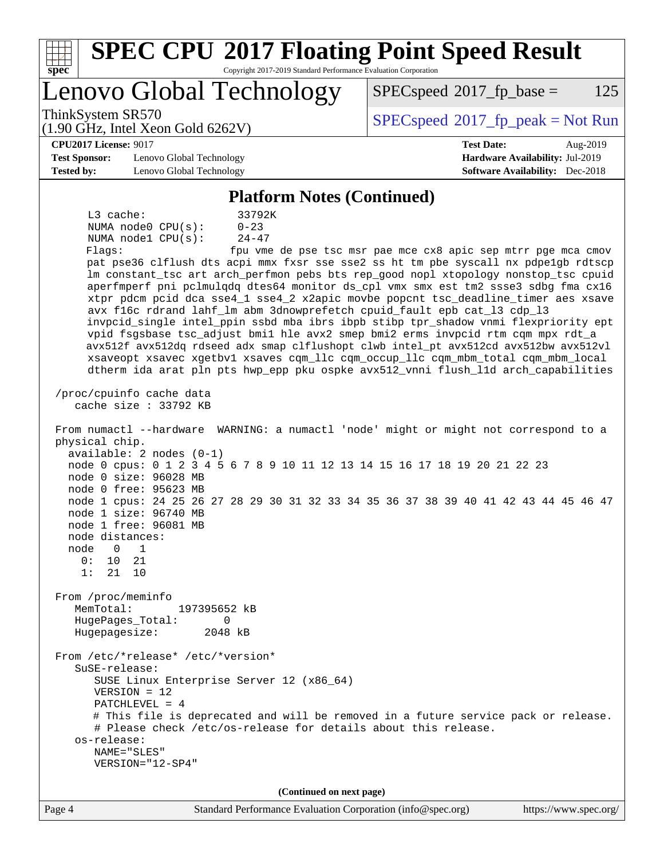| <b>SPEC CPU®2017 Floating Point Speed Result</b><br>Copyright 2017-2019 Standard Performance Evaluation Corporation<br>spec <sup>®</sup>                                                                                                                                                                                                                                                                                                                                                                                                                                                                                                                                                                                                                                                                                                                                                                                                                                                                                                                                                                                                                                                                                                                                                                                                                                                                                                                                                                                                                                                                                                                                                                                                                                                                                                                                                                                                                                    |                                                               |  |  |  |
|-----------------------------------------------------------------------------------------------------------------------------------------------------------------------------------------------------------------------------------------------------------------------------------------------------------------------------------------------------------------------------------------------------------------------------------------------------------------------------------------------------------------------------------------------------------------------------------------------------------------------------------------------------------------------------------------------------------------------------------------------------------------------------------------------------------------------------------------------------------------------------------------------------------------------------------------------------------------------------------------------------------------------------------------------------------------------------------------------------------------------------------------------------------------------------------------------------------------------------------------------------------------------------------------------------------------------------------------------------------------------------------------------------------------------------------------------------------------------------------------------------------------------------------------------------------------------------------------------------------------------------------------------------------------------------------------------------------------------------------------------------------------------------------------------------------------------------------------------------------------------------------------------------------------------------------------------------------------------------|---------------------------------------------------------------|--|--|--|
| Lenovo Global Technology                                                                                                                                                                                                                                                                                                                                                                                                                                                                                                                                                                                                                                                                                                                                                                                                                                                                                                                                                                                                                                                                                                                                                                                                                                                                                                                                                                                                                                                                                                                                                                                                                                                                                                                                                                                                                                                                                                                                                    | $SPEC speed^{\circ}2017$ fp base =<br>125                     |  |  |  |
| ThinkSystem SR570<br>$(1.90 \text{ GHz}, \text{Intel Xeon Gold } 6262 \text{V})$                                                                                                                                                                                                                                                                                                                                                                                                                                                                                                                                                                                                                                                                                                                                                                                                                                                                                                                                                                                                                                                                                                                                                                                                                                                                                                                                                                                                                                                                                                                                                                                                                                                                                                                                                                                                                                                                                            | $SPEC speed^{\circ}2017\_fp\_peak = Not Run$                  |  |  |  |
| <b>CPU2017 License: 9017</b>                                                                                                                                                                                                                                                                                                                                                                                                                                                                                                                                                                                                                                                                                                                                                                                                                                                                                                                                                                                                                                                                                                                                                                                                                                                                                                                                                                                                                                                                                                                                                                                                                                                                                                                                                                                                                                                                                                                                                | <b>Test Date:</b><br>Aug-2019                                 |  |  |  |
| <b>Test Sponsor:</b><br>Lenovo Global Technology                                                                                                                                                                                                                                                                                                                                                                                                                                                                                                                                                                                                                                                                                                                                                                                                                                                                                                                                                                                                                                                                                                                                                                                                                                                                                                                                                                                                                                                                                                                                                                                                                                                                                                                                                                                                                                                                                                                            | Hardware Availability: Jul-2019                               |  |  |  |
| <b>Tested by:</b><br>Lenovo Global Technology                                                                                                                                                                                                                                                                                                                                                                                                                                                                                                                                                                                                                                                                                                                                                                                                                                                                                                                                                                                                                                                                                                                                                                                                                                                                                                                                                                                                                                                                                                                                                                                                                                                                                                                                                                                                                                                                                                                               | <b>Software Availability:</b> Dec-2018                        |  |  |  |
| <b>Platform Notes (Continued)</b>                                                                                                                                                                                                                                                                                                                                                                                                                                                                                                                                                                                                                                                                                                                                                                                                                                                                                                                                                                                                                                                                                                                                                                                                                                                                                                                                                                                                                                                                                                                                                                                                                                                                                                                                                                                                                                                                                                                                           |                                                               |  |  |  |
| L3 cache:<br>33792K<br>$0 - 23$<br>NUMA node0 CPU(s):<br>NUMA nodel CPU(s):<br>$24 - 47$<br>Flagg:<br>pat pse36 clflush dts acpi mmx fxsr sse sse2 ss ht tm pbe syscall nx pdpe1gb rdtscp<br>lm constant_tsc art arch_perfmon pebs bts rep_good nopl xtopology nonstop_tsc cpuid<br>aperfmperf pni pclmulqdq dtes64 monitor ds_cpl vmx smx est tm2 ssse3 sdbg fma cx16<br>xtpr pdcm pcid dca sse4_1 sse4_2 x2apic movbe popcnt tsc_deadline_timer aes xsave<br>avx f16c rdrand lahf_lm abm 3dnowprefetch cpuid_fault epb cat_13 cdp_13<br>invpcid_single intel_ppin ssbd mba ibrs ibpb stibp tpr_shadow vnmi flexpriority ept<br>vpid fsgsbase tsc_adjust bmil hle avx2 smep bmi2 erms invpcid rtm cqm mpx rdt_a<br>avx512f avx512dq rdseed adx smap clflushopt clwb intel_pt avx512cd avx512bw avx512vl<br>xsaveopt xsavec xgetbvl xsaves cqm_llc cqm_occup_llc cqm_mbm_total cqm_mbm_local<br>dtherm ida arat pln pts hwp_epp pku ospke avx512_vnni flush_lld arch_capabilities<br>/proc/cpuinfo cache data<br>cache size : $33792$ KB<br>From numactl --hardware WARNING: a numactl 'node' might or might not correspond to a<br>physical chip.<br>$available: 2 nodes (0-1)$<br>node 0 cpus: 0 1 2 3 4 5 6 7 8 9 10 11 12 13 14 15 16 17 18 19 20 21 22 23<br>node 0 size: 96028 MB<br>node 0 free: 95623 MB<br>node 1 cpus: 24 25 26 27 28 29 30 31 32 33 34 35 36 37 38 39 40 41 42 43 44 45 46 47<br>node 1 size: 96740 MB<br>node 1 free: 96081 MB<br>node distances:<br>node<br>0<br>1<br>0 :<br>10<br>21<br>1:<br>21<br>10<br>From /proc/meminfo<br>MemTotal:<br>197395652 kB<br>HugePages_Total:<br>0<br>Hugepagesize:<br>2048 kB<br>From /etc/*release* /etc/*version*<br>SuSE-release:<br>SUSE Linux Enterprise Server 12 (x86_64)<br>$VERSION = 12$<br>PATCHLEVEL = $4$<br># This file is deprecated and will be removed in a future service pack or release.<br># Please check /etc/os-release for details about this release.<br>os-release:<br>NAME="SLES" | fpu vme de pse tsc msr pae mce cx8 apic sep mtrr pge mca cmov |  |  |  |
| VERSION="12-SP4"                                                                                                                                                                                                                                                                                                                                                                                                                                                                                                                                                                                                                                                                                                                                                                                                                                                                                                                                                                                                                                                                                                                                                                                                                                                                                                                                                                                                                                                                                                                                                                                                                                                                                                                                                                                                                                                                                                                                                            |                                                               |  |  |  |
| (Continued on next page)                                                                                                                                                                                                                                                                                                                                                                                                                                                                                                                                                                                                                                                                                                                                                                                                                                                                                                                                                                                                                                                                                                                                                                                                                                                                                                                                                                                                                                                                                                                                                                                                                                                                                                                                                                                                                                                                                                                                                    |                                                               |  |  |  |
| Page 4<br>Standard Performance Evaluation Corporation (info@spec.org)                                                                                                                                                                                                                                                                                                                                                                                                                                                                                                                                                                                                                                                                                                                                                                                                                                                                                                                                                                                                                                                                                                                                                                                                                                                                                                                                                                                                                                                                                                                                                                                                                                                                                                                                                                                                                                                                                                       | https://www.spec.org/                                         |  |  |  |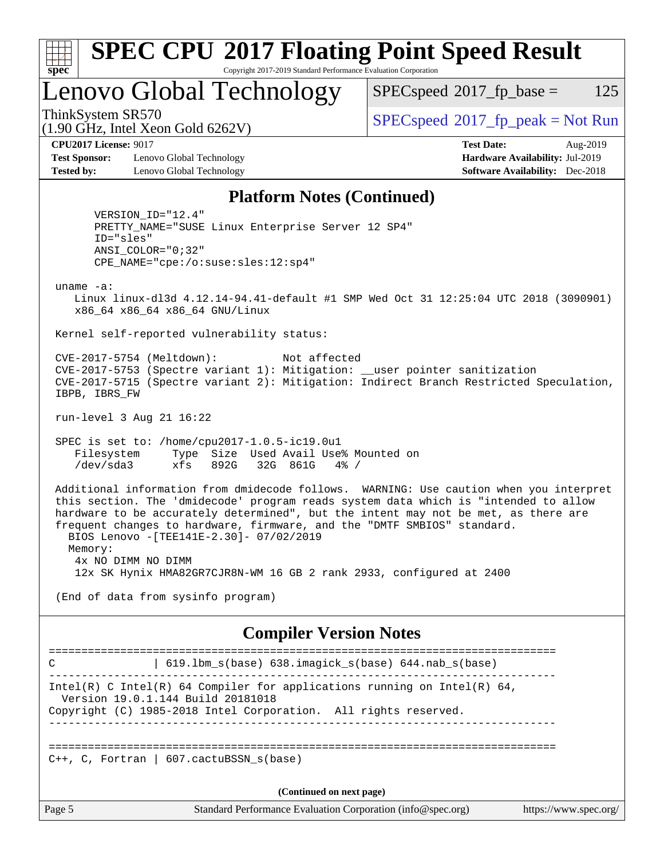

# **[SPEC CPU](http://www.spec.org/auto/cpu2017/Docs/result-fields.html#SPECCPU2017FloatingPointSpeedResult)[2017 Floating Point Speed Result](http://www.spec.org/auto/cpu2017/Docs/result-fields.html#SPECCPU2017FloatingPointSpeedResult)**

Copyright 2017-2019 Standard Performance Evaluation Corporation

Lenovo Global Technology

 $SPECspeed^{\circledcirc}2017_fp\_base = 125$  $SPECspeed^{\circledcirc}2017_fp\_base = 125$ 

(1.90 GHz, Intel Xeon Gold 6262V)

ThinkSystem SR570<br>  $\begin{array}{c}\n\text{SPEC speed} \text{?}2017\_fp\_peak = Not Run\n\end{array}$ 

**[CPU2017 License:](http://www.spec.org/auto/cpu2017/Docs/result-fields.html#CPU2017License)** 9017 **[Test Date:](http://www.spec.org/auto/cpu2017/Docs/result-fields.html#TestDate)** Aug-2019

**[Test Sponsor:](http://www.spec.org/auto/cpu2017/Docs/result-fields.html#TestSponsor)** Lenovo Global Technology **[Hardware Availability:](http://www.spec.org/auto/cpu2017/Docs/result-fields.html#HardwareAvailability)** Jul-2019 **[Tested by:](http://www.spec.org/auto/cpu2017/Docs/result-fields.html#Testedby)** Lenovo Global Technology **[Software Availability:](http://www.spec.org/auto/cpu2017/Docs/result-fields.html#SoftwareAvailability)** Dec-2018

#### **[Platform Notes \(Continued\)](http://www.spec.org/auto/cpu2017/Docs/result-fields.html#PlatformNotes)**

 VERSION\_ID="12.4" PRETTY\_NAME="SUSE Linux Enterprise Server 12 SP4" ID="sles" ANSI\_COLOR="0;32" CPE\_NAME="cpe:/o:suse:sles:12:sp4"

uname -a:

 Linux linux-dl3d 4.12.14-94.41-default #1 SMP Wed Oct 31 12:25:04 UTC 2018 (3090901) x86\_64 x86\_64 x86\_64 GNU/Linux

Kernel self-reported vulnerability status:

 CVE-2017-5754 (Meltdown): Not affected CVE-2017-5753 (Spectre variant 1): Mitigation: \_\_user pointer sanitization CVE-2017-5715 (Spectre variant 2): Mitigation: Indirect Branch Restricted Speculation, IBPB, IBRS\_FW

run-level 3 Aug 21 16:22

 SPEC is set to: /home/cpu2017-1.0.5-ic19.0u1 Filesystem Type Size Used Avail Use% Mounted on /dev/sda3 xfs 892G 32G 861G 4% /

 Additional information from dmidecode follows. WARNING: Use caution when you interpret this section. The 'dmidecode' program reads system data which is "intended to allow hardware to be accurately determined", but the intent may not be met, as there are frequent changes to hardware, firmware, and the "DMTF SMBIOS" standard. BIOS Lenovo -[TEE141E-2.30]- 07/02/2019 Memory: 4x NO DIMM NO DIMM 12x SK Hynix HMA82GR7CJR8N-WM 16 GB 2 rank 2933, configured at 2400

(End of data from sysinfo program)

#### **[Compiler Version Notes](http://www.spec.org/auto/cpu2017/Docs/result-fields.html#CompilerVersionNotes)**

============================================================================== C | 619.lbm\_s(base) 638.imagick\_s(base) 644.nab\_s(base) ------------------------------------------------------------------------------ Intel(R) C Intel(R) 64 Compiler for applications running on Intel(R)  $64$ , Version 19.0.1.144 Build 20181018 Copyright (C) 1985-2018 Intel Corporation. All rights reserved. ------------------------------------------------------------------------------ ==============================================================================  $C_{++}$ , C, Fortran | 607.cactuBSSN s(base)

**(Continued on next page)**

Page 5 Standard Performance Evaluation Corporation [\(info@spec.org\)](mailto:info@spec.org) <https://www.spec.org/>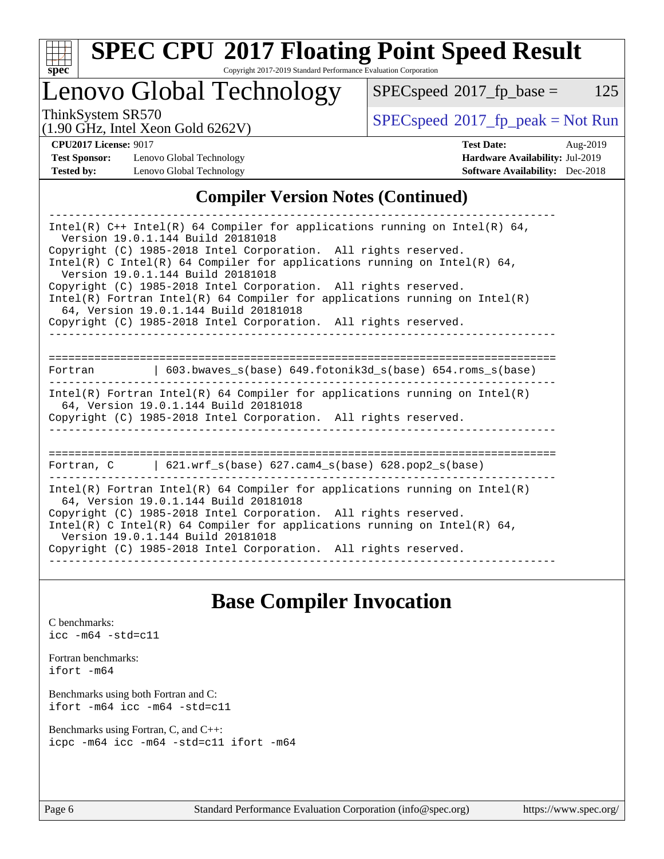

# **[SPEC CPU](http://www.spec.org/auto/cpu2017/Docs/result-fields.html#SPECCPU2017FloatingPointSpeedResult)[2017 Floating Point Speed Result](http://www.spec.org/auto/cpu2017/Docs/result-fields.html#SPECCPU2017FloatingPointSpeedResult)**

Copyright 2017-2019 Standard Performance Evaluation Corporation

Lenovo Global Technology

 $SPEC speed@2017_fp\_base = 125$ 

(1.90 GHz, Intel Xeon Gold 6262V)

ThinkSystem SR570<br>(1.00 GHz, Intel Year Gold 6262V) [SPECspeed](http://www.spec.org/auto/cpu2017/Docs/result-fields.html#SPECspeed2017fppeak)<sup>®</sup>[2017\\_fp\\_peak = N](http://www.spec.org/auto/cpu2017/Docs/result-fields.html#SPECspeed2017fppeak)ot Run

**[Test Sponsor:](http://www.spec.org/auto/cpu2017/Docs/result-fields.html#TestSponsor)** Lenovo Global Technology **[Hardware Availability:](http://www.spec.org/auto/cpu2017/Docs/result-fields.html#HardwareAvailability)** Jul-2019 **[Tested by:](http://www.spec.org/auto/cpu2017/Docs/result-fields.html#Testedby)** Lenovo Global Technology **[Software Availability:](http://www.spec.org/auto/cpu2017/Docs/result-fields.html#SoftwareAvailability)** Dec-2018

**[CPU2017 License:](http://www.spec.org/auto/cpu2017/Docs/result-fields.html#CPU2017License)** 9017 **[Test Date:](http://www.spec.org/auto/cpu2017/Docs/result-fields.html#TestDate)** Aug-2019

### **[Compiler Version Notes \(Continued\)](http://www.spec.org/auto/cpu2017/Docs/result-fields.html#CompilerVersionNotes)**

| Intel(R) $C++$ Intel(R) 64 Compiler for applications running on Intel(R) 64,<br>Version 19.0.1.144 Build 20181018                                                                      |  |  |  |  |  |  |  |
|----------------------------------------------------------------------------------------------------------------------------------------------------------------------------------------|--|--|--|--|--|--|--|
| Copyright (C) 1985-2018 Intel Corporation. All rights reserved.<br>Intel(R) C Intel(R) 64 Compiler for applications running on Intel(R) 64,<br>Version 19.0.1.144 Build 20181018       |  |  |  |  |  |  |  |
| Copyright (C) 1985-2018 Intel Corporation. All rights reserved.<br>$Intel(R)$ Fortran Intel(R) 64 Compiler for applications running on Intel(R)                                        |  |  |  |  |  |  |  |
| 64, Version 19.0.1.144 Build 20181018<br>Copyright (C) 1985-2018 Intel Corporation. All rights reserved.                                                                               |  |  |  |  |  |  |  |
|                                                                                                                                                                                        |  |  |  |  |  |  |  |
| Fortran $\qquad \qquad$ 603.bwaves s(base) 649.fotonik3d s(base) 654.roms s(base)                                                                                                      |  |  |  |  |  |  |  |
| Intel(R) Fortran Intel(R) 64 Compiler for applications running on Intel(R)<br>64, Version 19.0.1.144 Build 20181018<br>Copyright (C) 1985-2018 Intel Corporation. All rights reserved. |  |  |  |  |  |  |  |
|                                                                                                                                                                                        |  |  |  |  |  |  |  |
| Fortran, C   621.wrf_s(base) 627.cam4_s(base) 628.pop2_s(base)                                                                                                                         |  |  |  |  |  |  |  |
| $Intel(R)$ Fortran Intel(R) 64 Compiler for applications running on Intel(R)<br>64, Version 19.0.1.144 Build 20181018                                                                  |  |  |  |  |  |  |  |
| Copyright (C) 1985-2018 Intel Corporation. All rights reserved.<br>Intel(R) C Intel(R) 64 Compiler for applications running on Intel(R) 64,<br>Version 19.0.1.144 Build 20181018       |  |  |  |  |  |  |  |
| Copyright (C) 1985-2018 Intel Corporation. All rights reserved.                                                                                                                        |  |  |  |  |  |  |  |

## **[Base Compiler Invocation](http://www.spec.org/auto/cpu2017/Docs/result-fields.html#BaseCompilerInvocation)**

[C benchmarks](http://www.spec.org/auto/cpu2017/Docs/result-fields.html#Cbenchmarks): [icc -m64 -std=c11](http://www.spec.org/cpu2017/results/res2019q3/cpu2017-20190903-17676.flags.html#user_CCbase_intel_icc_64bit_c11_33ee0cdaae7deeeab2a9725423ba97205ce30f63b9926c2519791662299b76a0318f32ddfffdc46587804de3178b4f9328c46fa7c2b0cd779d7a61945c91cd35)

[Fortran benchmarks](http://www.spec.org/auto/cpu2017/Docs/result-fields.html#Fortranbenchmarks): [ifort -m64](http://www.spec.org/cpu2017/results/res2019q3/cpu2017-20190903-17676.flags.html#user_FCbase_intel_ifort_64bit_24f2bb282fbaeffd6157abe4f878425411749daecae9a33200eee2bee2fe76f3b89351d69a8130dd5949958ce389cf37ff59a95e7a40d588e8d3a57e0c3fd751)

[Benchmarks using both Fortran and C](http://www.spec.org/auto/cpu2017/Docs/result-fields.html#BenchmarksusingbothFortranandC): [ifort -m64](http://www.spec.org/cpu2017/results/res2019q3/cpu2017-20190903-17676.flags.html#user_CC_FCbase_intel_ifort_64bit_24f2bb282fbaeffd6157abe4f878425411749daecae9a33200eee2bee2fe76f3b89351d69a8130dd5949958ce389cf37ff59a95e7a40d588e8d3a57e0c3fd751) [icc -m64 -std=c11](http://www.spec.org/cpu2017/results/res2019q3/cpu2017-20190903-17676.flags.html#user_CC_FCbase_intel_icc_64bit_c11_33ee0cdaae7deeeab2a9725423ba97205ce30f63b9926c2519791662299b76a0318f32ddfffdc46587804de3178b4f9328c46fa7c2b0cd779d7a61945c91cd35)

[Benchmarks using Fortran, C, and C++:](http://www.spec.org/auto/cpu2017/Docs/result-fields.html#BenchmarksusingFortranCandCXX) [icpc -m64](http://www.spec.org/cpu2017/results/res2019q3/cpu2017-20190903-17676.flags.html#user_CC_CXX_FCbase_intel_icpc_64bit_4ecb2543ae3f1412ef961e0650ca070fec7b7afdcd6ed48761b84423119d1bf6bdf5cad15b44d48e7256388bc77273b966e5eb805aefd121eb22e9299b2ec9d9) [icc -m64 -std=c11](http://www.spec.org/cpu2017/results/res2019q3/cpu2017-20190903-17676.flags.html#user_CC_CXX_FCbase_intel_icc_64bit_c11_33ee0cdaae7deeeab2a9725423ba97205ce30f63b9926c2519791662299b76a0318f32ddfffdc46587804de3178b4f9328c46fa7c2b0cd779d7a61945c91cd35) [ifort -m64](http://www.spec.org/cpu2017/results/res2019q3/cpu2017-20190903-17676.flags.html#user_CC_CXX_FCbase_intel_ifort_64bit_24f2bb282fbaeffd6157abe4f878425411749daecae9a33200eee2bee2fe76f3b89351d69a8130dd5949958ce389cf37ff59a95e7a40d588e8d3a57e0c3fd751)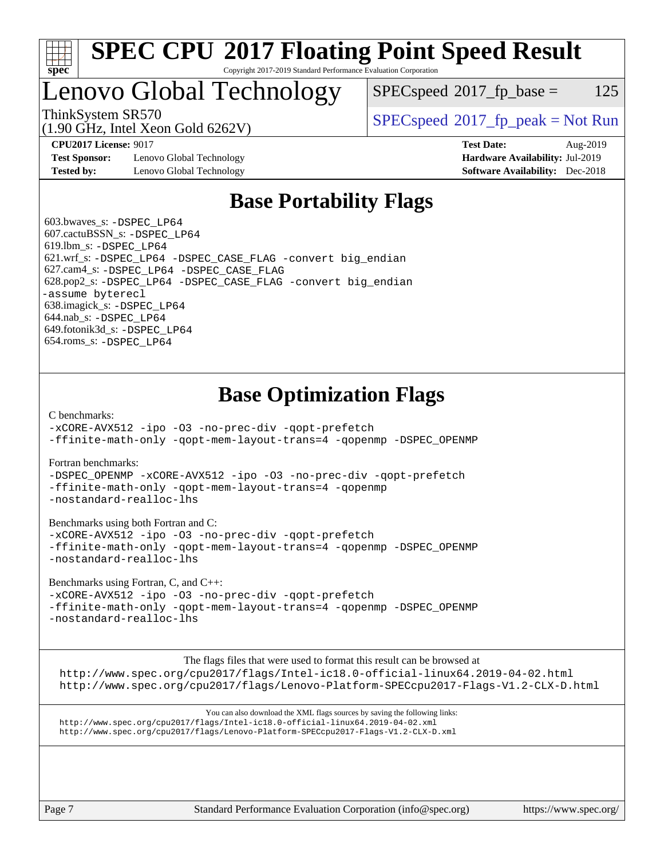

#### **[SPEC CPU](http://www.spec.org/auto/cpu2017/Docs/result-fields.html#SPECCPU2017FloatingPointSpeedResult)[2017 Floating Point Speed Result](http://www.spec.org/auto/cpu2017/Docs/result-fields.html#SPECCPU2017FloatingPointSpeedResult)** Copyright 2017-2019 Standard Performance Evaluation Corporation

# Lenovo Global Technology

 $SPEC speed^{\circ}2017\_fp\_base = 125$ 

(1.90 GHz, Intel Xeon Gold 6262V)

ThinkSystem SR570<br>  $SPEC speed^{\circ}2017$  [p\_peak = Not Run

**[Test Sponsor:](http://www.spec.org/auto/cpu2017/Docs/result-fields.html#TestSponsor)** Lenovo Global Technology **[Hardware Availability:](http://www.spec.org/auto/cpu2017/Docs/result-fields.html#HardwareAvailability)** Jul-2019 **[Tested by:](http://www.spec.org/auto/cpu2017/Docs/result-fields.html#Testedby)** Lenovo Global Technology **[Software Availability:](http://www.spec.org/auto/cpu2017/Docs/result-fields.html#SoftwareAvailability)** Dec-2018

**[CPU2017 License:](http://www.spec.org/auto/cpu2017/Docs/result-fields.html#CPU2017License)** 9017 **[Test Date:](http://www.spec.org/auto/cpu2017/Docs/result-fields.html#TestDate)** Aug-2019

## **[Base Portability Flags](http://www.spec.org/auto/cpu2017/Docs/result-fields.html#BasePortabilityFlags)**

 603.bwaves\_s: [-DSPEC\\_LP64](http://www.spec.org/cpu2017/results/res2019q3/cpu2017-20190903-17676.flags.html#suite_basePORTABILITY603_bwaves_s_DSPEC_LP64) 607.cactuBSSN\_s: [-DSPEC\\_LP64](http://www.spec.org/cpu2017/results/res2019q3/cpu2017-20190903-17676.flags.html#suite_basePORTABILITY607_cactuBSSN_s_DSPEC_LP64) 619.lbm\_s: [-DSPEC\\_LP64](http://www.spec.org/cpu2017/results/res2019q3/cpu2017-20190903-17676.flags.html#suite_basePORTABILITY619_lbm_s_DSPEC_LP64) 621.wrf\_s: [-DSPEC\\_LP64](http://www.spec.org/cpu2017/results/res2019q3/cpu2017-20190903-17676.flags.html#suite_basePORTABILITY621_wrf_s_DSPEC_LP64) [-DSPEC\\_CASE\\_FLAG](http://www.spec.org/cpu2017/results/res2019q3/cpu2017-20190903-17676.flags.html#b621.wrf_s_baseCPORTABILITY_DSPEC_CASE_FLAG) [-convert big\\_endian](http://www.spec.org/cpu2017/results/res2019q3/cpu2017-20190903-17676.flags.html#user_baseFPORTABILITY621_wrf_s_convert_big_endian_c3194028bc08c63ac5d04de18c48ce6d347e4e562e8892b8bdbdc0214820426deb8554edfa529a3fb25a586e65a3d812c835984020483e7e73212c4d31a38223) 627.cam4\_s: [-DSPEC\\_LP64](http://www.spec.org/cpu2017/results/res2019q3/cpu2017-20190903-17676.flags.html#suite_basePORTABILITY627_cam4_s_DSPEC_LP64) [-DSPEC\\_CASE\\_FLAG](http://www.spec.org/cpu2017/results/res2019q3/cpu2017-20190903-17676.flags.html#b627.cam4_s_baseCPORTABILITY_DSPEC_CASE_FLAG) 628.pop2\_s: [-DSPEC\\_LP64](http://www.spec.org/cpu2017/results/res2019q3/cpu2017-20190903-17676.flags.html#suite_basePORTABILITY628_pop2_s_DSPEC_LP64) [-DSPEC\\_CASE\\_FLAG](http://www.spec.org/cpu2017/results/res2019q3/cpu2017-20190903-17676.flags.html#b628.pop2_s_baseCPORTABILITY_DSPEC_CASE_FLAG) [-convert big\\_endian](http://www.spec.org/cpu2017/results/res2019q3/cpu2017-20190903-17676.flags.html#user_baseFPORTABILITY628_pop2_s_convert_big_endian_c3194028bc08c63ac5d04de18c48ce6d347e4e562e8892b8bdbdc0214820426deb8554edfa529a3fb25a586e65a3d812c835984020483e7e73212c4d31a38223) [-assume byterecl](http://www.spec.org/cpu2017/results/res2019q3/cpu2017-20190903-17676.flags.html#user_baseFPORTABILITY628_pop2_s_assume_byterecl_7e47d18b9513cf18525430bbf0f2177aa9bf368bc7a059c09b2c06a34b53bd3447c950d3f8d6c70e3faf3a05c8557d66a5798b567902e8849adc142926523472) 638.imagick\_s: [-DSPEC\\_LP64](http://www.spec.org/cpu2017/results/res2019q3/cpu2017-20190903-17676.flags.html#suite_basePORTABILITY638_imagick_s_DSPEC_LP64) 644.nab\_s: [-DSPEC\\_LP64](http://www.spec.org/cpu2017/results/res2019q3/cpu2017-20190903-17676.flags.html#suite_basePORTABILITY644_nab_s_DSPEC_LP64) 649.fotonik3d\_s: [-DSPEC\\_LP64](http://www.spec.org/cpu2017/results/res2019q3/cpu2017-20190903-17676.flags.html#suite_basePORTABILITY649_fotonik3d_s_DSPEC_LP64) 654.roms\_s: [-DSPEC\\_LP64](http://www.spec.org/cpu2017/results/res2019q3/cpu2017-20190903-17676.flags.html#suite_basePORTABILITY654_roms_s_DSPEC_LP64)

# **[Base Optimization Flags](http://www.spec.org/auto/cpu2017/Docs/result-fields.html#BaseOptimizationFlags)**

[C benchmarks](http://www.spec.org/auto/cpu2017/Docs/result-fields.html#Cbenchmarks):

[-xCORE-AVX512](http://www.spec.org/cpu2017/results/res2019q3/cpu2017-20190903-17676.flags.html#user_CCbase_f-xCORE-AVX512) [-ipo](http://www.spec.org/cpu2017/results/res2019q3/cpu2017-20190903-17676.flags.html#user_CCbase_f-ipo) [-O3](http://www.spec.org/cpu2017/results/res2019q3/cpu2017-20190903-17676.flags.html#user_CCbase_f-O3) [-no-prec-div](http://www.spec.org/cpu2017/results/res2019q3/cpu2017-20190903-17676.flags.html#user_CCbase_f-no-prec-div) [-qopt-prefetch](http://www.spec.org/cpu2017/results/res2019q3/cpu2017-20190903-17676.flags.html#user_CCbase_f-qopt-prefetch) [-ffinite-math-only](http://www.spec.org/cpu2017/results/res2019q3/cpu2017-20190903-17676.flags.html#user_CCbase_f_finite_math_only_cb91587bd2077682c4b38af759c288ed7c732db004271a9512da14a4f8007909a5f1427ecbf1a0fb78ff2a814402c6114ac565ca162485bbcae155b5e4258871) [-qopt-mem-layout-trans=4](http://www.spec.org/cpu2017/results/res2019q3/cpu2017-20190903-17676.flags.html#user_CCbase_f-qopt-mem-layout-trans_fa39e755916c150a61361b7846f310bcdf6f04e385ef281cadf3647acec3f0ae266d1a1d22d972a7087a248fd4e6ca390a3634700869573d231a252c784941a8) [-qopenmp](http://www.spec.org/cpu2017/results/res2019q3/cpu2017-20190903-17676.flags.html#user_CCbase_qopenmp_16be0c44f24f464004c6784a7acb94aca937f053568ce72f94b139a11c7c168634a55f6653758ddd83bcf7b8463e8028bb0b48b77bcddc6b78d5d95bb1df2967) [-DSPEC\\_OPENMP](http://www.spec.org/cpu2017/results/res2019q3/cpu2017-20190903-17676.flags.html#suite_CCbase_DSPEC_OPENMP)

[Fortran benchmarks](http://www.spec.org/auto/cpu2017/Docs/result-fields.html#Fortranbenchmarks):

[-DSPEC\\_OPENMP](http://www.spec.org/cpu2017/results/res2019q3/cpu2017-20190903-17676.flags.html#suite_FCbase_DSPEC_OPENMP) [-xCORE-AVX512](http://www.spec.org/cpu2017/results/res2019q3/cpu2017-20190903-17676.flags.html#user_FCbase_f-xCORE-AVX512) [-ipo](http://www.spec.org/cpu2017/results/res2019q3/cpu2017-20190903-17676.flags.html#user_FCbase_f-ipo) [-O3](http://www.spec.org/cpu2017/results/res2019q3/cpu2017-20190903-17676.flags.html#user_FCbase_f-O3) [-no-prec-div](http://www.spec.org/cpu2017/results/res2019q3/cpu2017-20190903-17676.flags.html#user_FCbase_f-no-prec-div) [-qopt-prefetch](http://www.spec.org/cpu2017/results/res2019q3/cpu2017-20190903-17676.flags.html#user_FCbase_f-qopt-prefetch) [-ffinite-math-only](http://www.spec.org/cpu2017/results/res2019q3/cpu2017-20190903-17676.flags.html#user_FCbase_f_finite_math_only_cb91587bd2077682c4b38af759c288ed7c732db004271a9512da14a4f8007909a5f1427ecbf1a0fb78ff2a814402c6114ac565ca162485bbcae155b5e4258871) [-qopt-mem-layout-trans=4](http://www.spec.org/cpu2017/results/res2019q3/cpu2017-20190903-17676.flags.html#user_FCbase_f-qopt-mem-layout-trans_fa39e755916c150a61361b7846f310bcdf6f04e385ef281cadf3647acec3f0ae266d1a1d22d972a7087a248fd4e6ca390a3634700869573d231a252c784941a8) [-qopenmp](http://www.spec.org/cpu2017/results/res2019q3/cpu2017-20190903-17676.flags.html#user_FCbase_qopenmp_16be0c44f24f464004c6784a7acb94aca937f053568ce72f94b139a11c7c168634a55f6653758ddd83bcf7b8463e8028bb0b48b77bcddc6b78d5d95bb1df2967) [-nostandard-realloc-lhs](http://www.spec.org/cpu2017/results/res2019q3/cpu2017-20190903-17676.flags.html#user_FCbase_f_2003_std_realloc_82b4557e90729c0f113870c07e44d33d6f5a304b4f63d4c15d2d0f1fab99f5daaed73bdb9275d9ae411527f28b936061aa8b9c8f2d63842963b95c9dd6426b8a)

[Benchmarks using both Fortran and C](http://www.spec.org/auto/cpu2017/Docs/result-fields.html#BenchmarksusingbothFortranandC):

[-xCORE-AVX512](http://www.spec.org/cpu2017/results/res2019q3/cpu2017-20190903-17676.flags.html#user_CC_FCbase_f-xCORE-AVX512) [-ipo](http://www.spec.org/cpu2017/results/res2019q3/cpu2017-20190903-17676.flags.html#user_CC_FCbase_f-ipo) [-O3](http://www.spec.org/cpu2017/results/res2019q3/cpu2017-20190903-17676.flags.html#user_CC_FCbase_f-O3) [-no-prec-div](http://www.spec.org/cpu2017/results/res2019q3/cpu2017-20190903-17676.flags.html#user_CC_FCbase_f-no-prec-div) [-qopt-prefetch](http://www.spec.org/cpu2017/results/res2019q3/cpu2017-20190903-17676.flags.html#user_CC_FCbase_f-qopt-prefetch) [-ffinite-math-only](http://www.spec.org/cpu2017/results/res2019q3/cpu2017-20190903-17676.flags.html#user_CC_FCbase_f_finite_math_only_cb91587bd2077682c4b38af759c288ed7c732db004271a9512da14a4f8007909a5f1427ecbf1a0fb78ff2a814402c6114ac565ca162485bbcae155b5e4258871) [-qopt-mem-layout-trans=4](http://www.spec.org/cpu2017/results/res2019q3/cpu2017-20190903-17676.flags.html#user_CC_FCbase_f-qopt-mem-layout-trans_fa39e755916c150a61361b7846f310bcdf6f04e385ef281cadf3647acec3f0ae266d1a1d22d972a7087a248fd4e6ca390a3634700869573d231a252c784941a8) [-qopenmp](http://www.spec.org/cpu2017/results/res2019q3/cpu2017-20190903-17676.flags.html#user_CC_FCbase_qopenmp_16be0c44f24f464004c6784a7acb94aca937f053568ce72f94b139a11c7c168634a55f6653758ddd83bcf7b8463e8028bb0b48b77bcddc6b78d5d95bb1df2967) [-DSPEC\\_OPENMP](http://www.spec.org/cpu2017/results/res2019q3/cpu2017-20190903-17676.flags.html#suite_CC_FCbase_DSPEC_OPENMP) [-nostandard-realloc-lhs](http://www.spec.org/cpu2017/results/res2019q3/cpu2017-20190903-17676.flags.html#user_CC_FCbase_f_2003_std_realloc_82b4557e90729c0f113870c07e44d33d6f5a304b4f63d4c15d2d0f1fab99f5daaed73bdb9275d9ae411527f28b936061aa8b9c8f2d63842963b95c9dd6426b8a)

[Benchmarks using Fortran, C, and C++:](http://www.spec.org/auto/cpu2017/Docs/result-fields.html#BenchmarksusingFortranCandCXX)

[-xCORE-AVX512](http://www.spec.org/cpu2017/results/res2019q3/cpu2017-20190903-17676.flags.html#user_CC_CXX_FCbase_f-xCORE-AVX512) [-ipo](http://www.spec.org/cpu2017/results/res2019q3/cpu2017-20190903-17676.flags.html#user_CC_CXX_FCbase_f-ipo) [-O3](http://www.spec.org/cpu2017/results/res2019q3/cpu2017-20190903-17676.flags.html#user_CC_CXX_FCbase_f-O3) [-no-prec-div](http://www.spec.org/cpu2017/results/res2019q3/cpu2017-20190903-17676.flags.html#user_CC_CXX_FCbase_f-no-prec-div) [-qopt-prefetch](http://www.spec.org/cpu2017/results/res2019q3/cpu2017-20190903-17676.flags.html#user_CC_CXX_FCbase_f-qopt-prefetch) [-ffinite-math-only](http://www.spec.org/cpu2017/results/res2019q3/cpu2017-20190903-17676.flags.html#user_CC_CXX_FCbase_f_finite_math_only_cb91587bd2077682c4b38af759c288ed7c732db004271a9512da14a4f8007909a5f1427ecbf1a0fb78ff2a814402c6114ac565ca162485bbcae155b5e4258871) [-qopt-mem-layout-trans=4](http://www.spec.org/cpu2017/results/res2019q3/cpu2017-20190903-17676.flags.html#user_CC_CXX_FCbase_f-qopt-mem-layout-trans_fa39e755916c150a61361b7846f310bcdf6f04e385ef281cadf3647acec3f0ae266d1a1d22d972a7087a248fd4e6ca390a3634700869573d231a252c784941a8) [-qopenmp](http://www.spec.org/cpu2017/results/res2019q3/cpu2017-20190903-17676.flags.html#user_CC_CXX_FCbase_qopenmp_16be0c44f24f464004c6784a7acb94aca937f053568ce72f94b139a11c7c168634a55f6653758ddd83bcf7b8463e8028bb0b48b77bcddc6b78d5d95bb1df2967) [-DSPEC\\_OPENMP](http://www.spec.org/cpu2017/results/res2019q3/cpu2017-20190903-17676.flags.html#suite_CC_CXX_FCbase_DSPEC_OPENMP) [-nostandard-realloc-lhs](http://www.spec.org/cpu2017/results/res2019q3/cpu2017-20190903-17676.flags.html#user_CC_CXX_FCbase_f_2003_std_realloc_82b4557e90729c0f113870c07e44d33d6f5a304b4f63d4c15d2d0f1fab99f5daaed73bdb9275d9ae411527f28b936061aa8b9c8f2d63842963b95c9dd6426b8a)

[The flags files that were used to format this result can be browsed at](tmsearch)

<http://www.spec.org/cpu2017/flags/Intel-ic18.0-official-linux64.2019-04-02.html> <http://www.spec.org/cpu2017/flags/Lenovo-Platform-SPECcpu2017-Flags-V1.2-CLX-D.html>

[You can also download the XML flags sources by saving the following links:](tmsearch) <http://www.spec.org/cpu2017/flags/Intel-ic18.0-official-linux64.2019-04-02.xml> <http://www.spec.org/cpu2017/flags/Lenovo-Platform-SPECcpu2017-Flags-V1.2-CLX-D.xml>